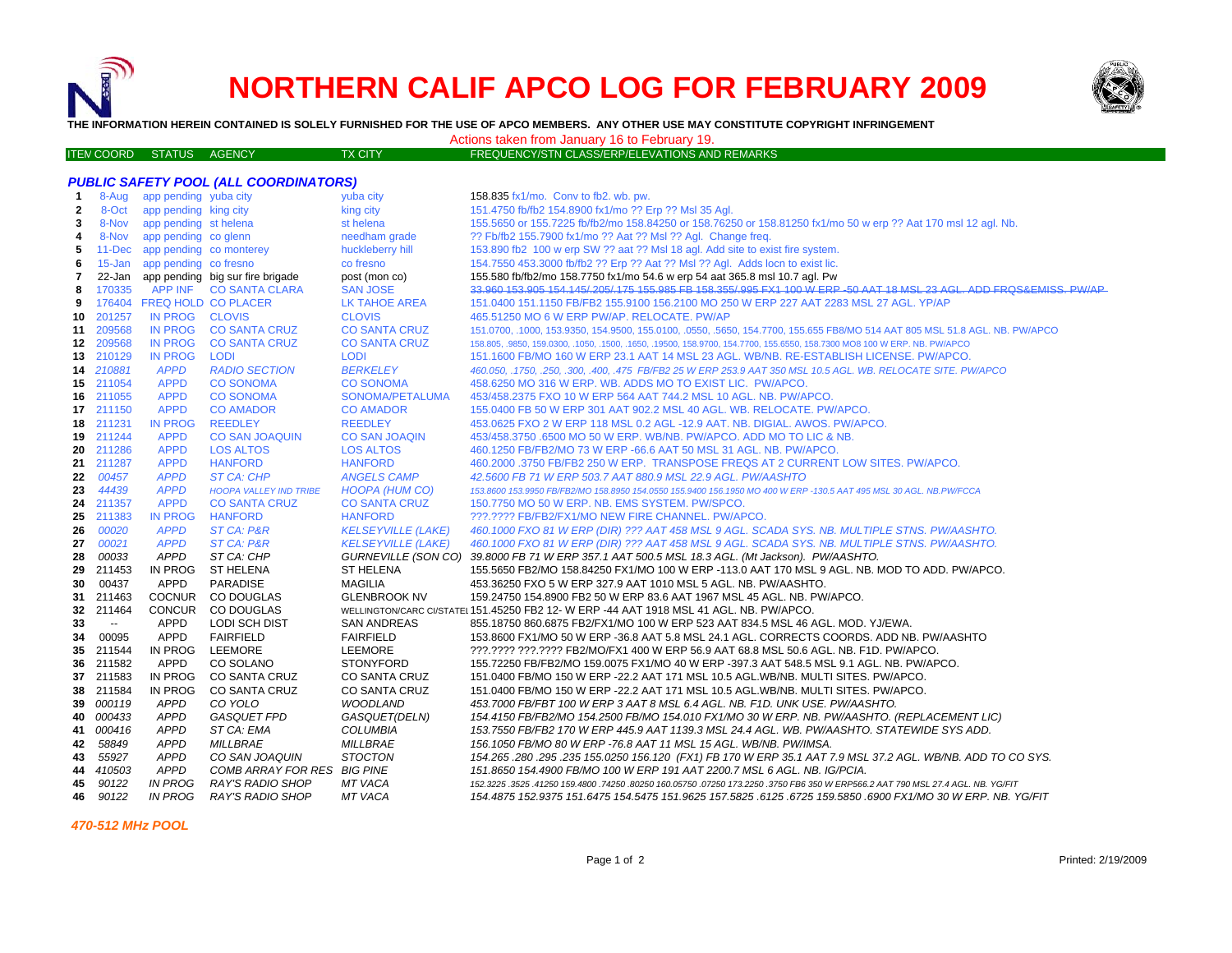# **NORTHERN CALIF APCO LOG FOR FEBRUARY 2009**



**THE INFORMATION HEREIN CONTAINED IS SOLELY FURNISHED FOR THE USE OF APCO MEMBERS. ANY OTHER USE MAY CONSTITUTE COPYRIGHT INFRINGEMENT**

Actions taken from January 16 to February 19.

| <b>ITEN COORD STATUS AGENCY</b> |  | <b>TX CITY</b> | FREQUENCY/STN CLASS/ERP/ELEVATIONS AND REMARKS |
|---------------------------------|--|----------------|------------------------------------------------|
|                                 |  |                |                                                |

|              |           |                                | <b>PUBLIC SAFETY POOL (ALL COORDINATORS)</b> |                           |                                                                                                                                  |
|--------------|-----------|--------------------------------|----------------------------------------------|---------------------------|----------------------------------------------------------------------------------------------------------------------------------|
| $\mathbf{1}$ |           | 8-Aug app pending yuba city    |                                              | yuba city                 | 158.835 fx1/mo. Conv to fb2. wb. pw.                                                                                             |
| $\mathbf{2}$ | 8-Oct     | app pending king city          |                                              | king city                 | 151.4750 fb/fb2 154.8900 fx1/mo ?? Erp ?? Msl 35 Agl.                                                                            |
| 3            | 8-Nov     | app pending st helena          |                                              | st helena                 | 155.5650 or 155.7225 fb/fb2/mo 158.84250 or 158.76250 or 158.81250 fx1/mo 50 w erp ?? Aat 170 msl 12 agl. Nb.                    |
| 4            | 8-Nov     | app pending co glenn           |                                              | needham grade             | ?? Fb/fb2 155.7900 fx1/mo ?? Aat ?? Msl ?? Agl. Change freq.                                                                     |
| 5            |           | 11-Dec app pending co monterey |                                              | huckleberry hill          | 153.890 fb2 100 w erp SW ?? aat ?? MsI 18 agl. Add site to exist fire system.                                                    |
| 6            |           | 15-Jan app pending co fresno   |                                              | co fresno                 | 154.7550 453.3000 fb/fb2 ?? Erp ?? Aat ?? Msl ?? Agl. Adds locn to exist lic.                                                    |
| 7            |           |                                | 22-Jan app pending big sur fire brigade      | post (mon co)             | 155.580 fb/fb2/mo 158.7750 fx1/mo 54.6 w erp 54 aat 365.8 msl 10.7 agl. Pw                                                       |
| 8            | 170335    |                                | APP INF CO SANTA CLARA                       | <b>SAN JOSE</b>           | 33.960 153.905 154.145/.205/.175 155.985 FB 158.355/.995 FX1 100 W ERP -50 AAT 18 MSL 23 AGL. ADD FRQS&EMISS. PW/AP              |
| 9            |           | 176404 FREQ HOLD CO PLACER     |                                              | LK TAHOE AREA             | 151.0400 151.1150 FB/FB2 155.9100 156.2100 MO 250 W ERP 227 AAT 2283 MSL 27 AGL. YP/AP                                           |
| 10           | 201257    | IN PROG CLOVIS                 |                                              | <b>CLOVIS</b>             | 465.51250 MO 6 W ERP PW/AP. RELOCATE. PW/AP                                                                                      |
|              | 11 209568 |                                | IN PROG CO SANTA CRUZ                        | <b>CO SANTA CRUZ</b>      | 151.0700, .1000, 153.9350, 154.9500, 155.0100, .0550, .5650, 154.7700, 155.655 FB8/MO 514 AAT 805 MSL 51.8 AGL. NB. PW/APCO      |
|              | 12 209568 | <b>IN PROG</b>                 | <b>CO SANTA CRUZ</b>                         | <b>CO SANTA CRUZ</b>      | 158.805, .9850, 159.0300, .1050, .1500, .1650, .19500, 158.9700, 154.7700, 155.6550, 158.7300 MO8 100 W ERP. NB. PW/APCO         |
|              | 13 210129 | <b>IN PROG</b>                 | <b>LODI</b>                                  | <b>LODI</b>               | 151.1600 FB/MO 160 W ERP 23.1 AAT 14 MSL 23 AGL. WB/NB. RE-ESTABLISH LICENSE. PW/APCO.                                           |
|              | 14 210881 | <b>APPD</b>                    | <b>RADIO SECTION</b>                         | <b>BERKELEY</b>           | 460.050, .1750, .250, .300, .400, .475 FB/FB2 25 W ERP 253.9 AAT 350 MSL 10.5 AGL. WB. RELOCATE SITE. PW/APCO                    |
| 15           | 211054    | <b>APPD</b>                    | <b>CO SONOMA</b>                             | <b>CO SONOMA</b>          | 458.6250 MO 316 W ERP. WB. ADDS MO TO EXIST LIC. PW/APCO.                                                                        |
|              | 16 211055 | <b>APPD</b>                    | <b>CO SONOMA</b>                             | SONOMA/PETALUMA           | 453/458.2375 FXO 10 W ERP 564 AAT 744.2 MSL 10 AGL. NB. PW/APCO.                                                                 |
|              | 17 211150 | APPD                           | <b>CO AMADOR</b>                             | <b>CO AMADOR</b>          | 155.0400 FB 50 W ERP 301 AAT 902.2 MSL 40 AGL. WB. RELOCATE. PW/APCO.                                                            |
| 18           | 211231    | <b>IN PROG</b>                 | <b>REEDLEY</b>                               | <b>REEDLEY</b>            | 453.0625 FXO 2 W ERP 118 MSL 0.2 AGL -12.9 AAT. NB. DIGIAL. AWOS. PW/APCO.                                                       |
|              | 19 211244 | <b>APPD</b>                    | <b>CO SAN JOAQUIN</b>                        | <b>CO SAN JOAQIN</b>      | 453/458.3750 .6500 MO 50 W ERP. WB/NB. PW/APCO. ADD MO TO LIC & NB.                                                              |
| 20           | 211286    | <b>APPD</b>                    | <b>LOS ALTOS</b>                             | <b>LOS ALTOS</b>          | 460.1250 FB/FB2/MO 73 W ERP -66.6 AAT 50 MSL 31 AGL. NB. PW/APCO.                                                                |
|              | 21 211287 | <b>APPD</b>                    | <b>HANFORD</b>                               | <b>HANFORD</b>            | 460.2000 .3750 FB/FB2 250 W ERP. TRANSPOSE FREQS AT 2 CURRENT LOW SITES. PW/APCO.                                                |
| 22           | 00457     | <b>APPD</b>                    | ST CA: CHP                                   | <b>ANGELS CAMP</b>        | 42.5600 FB 71 W ERP 503.7 AAT 880.9 MSL 22.9 AGL. PW/AASHTO                                                                      |
| 23           | 44439     | <b>APPD</b>                    | <b>HOOPA VALLEY IND TRIBE</b>                | <b>HOOPA (HUM CO)</b>     | 153.8600 153.9950 FB/FB2/MO 158.8950 154.0550 155.9400 156.1950 MO 400 W ERP -130.5 AAT 495 MSL 30 AGL. NB.PW/FCCA               |
|              | 24 211357 | <b>APPD</b>                    | <b>CO SANTA CRUZ</b>                         | <b>CO SANTA CRUZ</b>      | 150.7750 MO 50 W ERP. NB. EMS SYSTEM. PW/SPCO.                                                                                   |
| 25           | 211383    | <b>IN PROG</b>                 | <b>HANFORD</b>                               | <b>HANFORD</b>            | ???.???? FB/FB2/FX1/MO NEW FIRE CHANNEL. PW/APCO.                                                                                |
| 26           | 00020     | <b>APPD</b>                    | ST CA: P&R                                   | <b>KELSEYVILLE (LAKE)</b> | 460.1000 FXO 81 W ERP (DIR) ??? AAT 458 MSL 9 AGL. SCADA SYS. NB. MULTIPLE STNS. PW/AASHTO.                                      |
| 27           | 00021     | <b>APPD</b>                    | ST CA: P&R                                   | <b>KELSEYVILLE (LAKE)</b> | 460.1000 FXO 81 W ERP (DIR) ??? AAT 458 MSL 9 AGL. SCADA SYS. NB. MULTIPLE STNS. PW/AASHTO.                                      |
| 28           | 00033     | <b>APPD</b>                    | ST CA: CHP                                   | GURNEVILLE (SON CO)       | 39.8000 FB 71 W ERP 357.1 AAT 500.5 MSL 18.3 AGL. (Mt Jackson). PW/AASHTO.                                                       |
| 29           | 211453    | IN PROG                        | <b>ST HELENA</b>                             | <b>ST HELENA</b>          | 155.5650 FB2/MO 158.84250 FX1/MO 100 W ERP -113.0 AAT 170 MSL 9 AGL. NB. MOD TO ADD. PW/APCO.                                    |
| 30           | 00437     | <b>APPD</b>                    | <b>PARADISE</b>                              | <b>MAGILIA</b>            | 453.36250 FXO 5 W ERP 327.9 AAT 1010 MSL 5 AGL. NB. PW/AASHTO.                                                                   |
| 31           | 211463    | <b>COCNUR</b>                  | CO DOUGLAS                                   | <b>GLENBROOK NV</b>       | 159.24750 154.8900 FB2 50 W ERP 83.6 AAT 1967 MSL 45 AGL. NB. PW/APCO.                                                           |
| 32           | 211464    | <b>CONCUR</b>                  | CO DOUGLAS                                   |                           | WELLINGTON/CARC CI/STATEI 151.45250 FB2 12- W ERP -44 AAT 1918 MSL 41 AGL. NB. PW/APCO.                                          |
| 33           | $\sim$    | APPD                           | LODI SCH DIST                                | <b>SAN ANDREAS</b>        | 855.18750 860.6875 FB2/FX1/MO 100 W ERP 523 AAT 834.5 MSL 46 AGL. MOD. YJ/EWA.                                                   |
| 34           | 00095     | APPD                           | <b>FAIRFIELD</b>                             | <b>FAIRFIELD</b>          | 153.8600 FX1/MO 50 W ERP -36.8 AAT 5.8 MSL 24.1 AGL. CORRECTS COORDS. ADD NB. PW/AASHTO                                          |
| 35           | 211544    | IN PROG                        | LEEMORE                                      | <b>LEEMORE</b>            | ???.???? ???.???? FB2/MO/FX1 400 W ERP 56.9 AAT 68.8 MSL 50.6 AGL. NB. F1D. PW/APCO.                                             |
| 36           | 211582    | APPD                           | CO SOLANO                                    | <b>STONYFORD</b>          | 155.72250 FB/FB2/MO 159.0075 FX1/MO 40 W ERP -397.3 AAT 548.5 MSL 9.1 AGL. NB. PW/APCO.                                          |
| 37           | 211583    | IN PROG                        | CO SANTA CRUZ                                | <b>CO SANTA CRUZ</b>      | 151.0400 FB/MO 150 W ERP -22.2 AAT 171 MSL 10.5 AGL.WB/NB. MULTI SITES. PW/APCO.                                                 |
|              | 38 211584 | IN PROG                        | CO SANTA CRUZ                                | <b>CO SANTA CRUZ</b>      | 151.0400 FB/MO 150 W ERP -22.2 AAT 171 MSL 10.5 AGL.WB/NB. MULTI SITES. PW/APCO.                                                 |
| 39           | 000119    | APPD                           | CO YOLO                                      | <b>WOODLAND</b>           | 453.7000 FB/FBT 100 W ERP 3 AAT 8 MSL 6.4 AGL. NB. F1D. UNK USE. PW/AASHTO.                                                      |
| 40.          | 000433    | APPD                           | GASQUET FPD                                  | GASQUET(DELN)             | 154.4150 FB/FB2/MO 154.2500 FB/MO 154.010 FX1/MO 30 W ERP. NB. PW/AASHTO. (REPLACEMENT LIC)                                      |
| 41           | 000416    | <b>APPD</b>                    | ST CA: EMA                                   | <b>COLUMBIA</b>           | 153.7550 FB/FB2 170 W ERP 445.9 AAT 1139.3 MSL 24.4 AGL. WB. PW/AASHTO. STATEWIDE SYS ADD.                                       |
| 42           | 58849     | <b>APPD</b>                    | <i>MILLBRAE</i>                              | <i>MILLBRAE</i>           | 156.1050 FB/MO 80 W ERP -76.8 AAT 11 MSL 15 AGL. WB/NB. PW/IMSA.                                                                 |
| 43           | 55927     | <b>APPD</b>                    | CO SAN JOAQUIN                               | <b>STOCTON</b>            | 154.265 .280 .295 .235 155.0250 156.120 (FX1) FB 170 W ERP 35.1 AAT 7.9 MSL 37.2 AGL. WB/NB. ADD TO CO SYS.                      |
| 44           | 410503    | <b>APPD</b>                    | COMB ARRAY FOR RES BIG PINE                  |                           | 151.8650 154.4900 FB/MO 100 W ERP 191 AAT 2200.7 MSL 6 AGL. NB. IG/PCIA.                                                         |
| 45           | 90122     | <b>IN PROG</b>                 | <b>RAY'S RADIO SHOP</b>                      | <b>MT VACA</b>            | 152.3225 .3525 .41250 159.4800 .74250 .80250 160.05750 .07250 173.2250 .3750 FB6 350 W ERP566.2 AAT 790 MSL 27.4 AGL. NB. YG/FIT |
| 46           | 90122     | <i>IN PROG</i>                 | RAY'S RADIO SHOP                             | MT VACA                   | 154.4875 152.9375 151.6475 154.5475 151.9625 157.5825 .6125 .6725 159.5850 .6900 FX1/MO 30 W ERP. NB. YG/FIT                     |

 *470-512 MHz POOL*